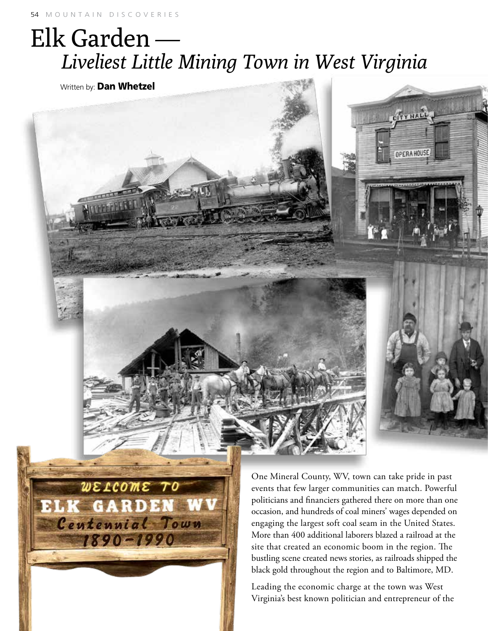## Elk Garden —  *Liveliest Little Mining Town in West Virginia*

Written by: **Dan Whetzel** 



Leading the economic charge at the town was West Virginia's best known politician and entrepreneur of the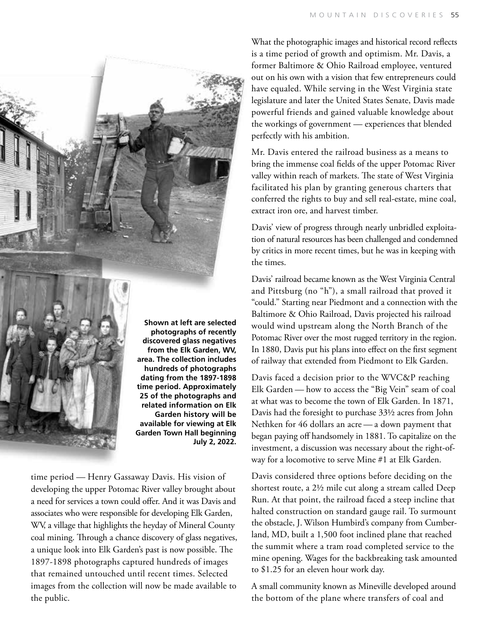

**Shown at left are selected photographs of recently discovered glass negatives from the Elk Garden, WV, area. The collection includes hundreds of photographs dating from the 1897-1898 time period. Approximately 25 of the photographs and related information on Elk Garden history will be available for viewing at Elk Garden Town Hall beginning July 2, 2022.**

time period — Henry Gassaway Davis. His vision of developing the upper Potomac River valley brought about a need for services a town could offer. And it was Davis and associates who were responsible for developing Elk Garden, WV, a village that highlights the heyday of Mineral County coal mining. Through a chance discovery of glass negatives, a unique look into Elk Garden's past is now possible. The 1897-1898 photographs captured hundreds of images that remained untouched until recent times. Selected images from the collection will now be made available to the public.

What the photographic images and historical record reflects is a time period of growth and optimism. Mr. Davis, a former Baltimore & Ohio Railroad employee, ventured out on his own with a vision that few entrepreneurs could have equaled. While serving in the West Virginia state legislature and later the United States Senate, Davis made powerful friends and gained valuable knowledge about the workings of government — experiences that blended perfectly with his ambition.

Mr. Davis entered the railroad business as a means to bring the immense coal fields of the upper Potomac River valley within reach of markets. The state of West Virginia facilitated his plan by granting generous charters that conferred the rights to buy and sell real-estate, mine coal, extract iron ore, and harvest timber.

Davis' view of progress through nearly unbridled exploitation of natural resources has been challenged and condemned by critics in more recent times, but he was in keeping with the times.

Davis' railroad became known as the West Virginia Central and Pittsburg (no "h"), a small railroad that proved it "could." Starting near Piedmont and a connection with the Baltimore & Ohio Railroad, Davis projected his railroad would wind upstream along the North Branch of the Potomac River over the most rugged territory in the region. In 1880, Davis put his plans into effect on the first segment of railway that extended from Piedmont to Elk Garden.

Davis faced a decision prior to the WVC&P reaching Elk Garden — how to access the "Big Vein" seam of coal at what was to become the town of Elk Garden. In 1871, Davis had the foresight to purchase 33½ acres from John Nethken for 46 dollars an acre — a down payment that began paying off handsomely in 1881. To capitalize on the investment, a discussion was necessary about the right-ofway for a locomotive to serve Mine #1 at Elk Garden.

Davis considered three options before deciding on the shortest route, a 2½ mile cut along a stream called Deep Run. At that point, the railroad faced a steep incline that halted construction on standard gauge rail. To surmount the obstacle, J. Wilson Humbird's company from Cumberland, MD, built a 1,500 foot inclined plane that reached the summit where a tram road completed service to the mine opening. Wages for the backbreaking task amounted to \$1.25 for an eleven hour work day.

A small community known as Mineville developed around the bottom of the plane where transfers of coal and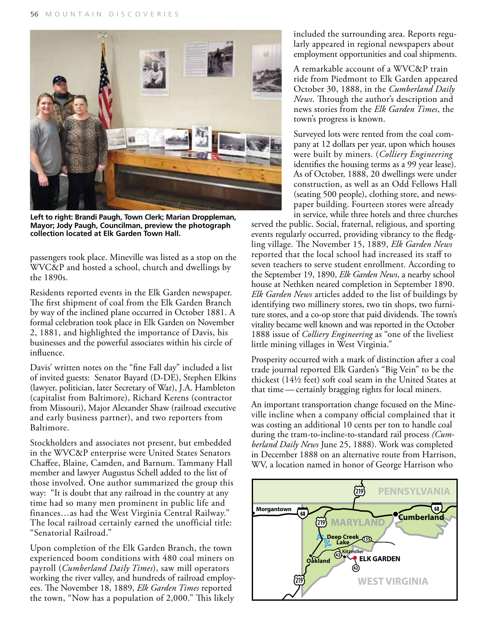

**Left to right: Brandi Paugh, Town Clerk; Marian Droppleman, Mayor; Jody Paugh, Councilman, preview the photograph collection located at Elk Garden Town Hall.**

passengers took place. Mineville was listed as a stop on the WVC&P and hosted a school, church and dwellings by the 1890s.

Residents reported events in the Elk Garden newspaper. The first shipment of coal from the Elk Garden Branch by way of the inclined plane occurred in October 1881. A formal celebration took place in Elk Garden on November 2, 1881, and highlighted the importance of Davis, his businesses and the powerful associates within his circle of influence.

Davis' written notes on the "fine Fall day" included a list of invited guests: Senator Bayard (D-DE), Stephen Elkins (lawyer, politician, later Secretary of War), J.A. Hambleton (capitalist from Baltimore), Richard Kerens (contractor from Missouri), Major Alexander Shaw (railroad executive and early business partner), and two reporters from Baltimore.

Stockholders and associates not present, but embedded in the WVC&P enterprise were United States Senators Chaffee, Blaine, Camden, and Barnum. Tammany Hall member and lawyer Augustus Schell added to the list of those involved. One author summarized the group this way: "It is doubt that any railroad in the country at any time had so many men prominent in public life and finances…as had the West Virginia Central Railway." The local railroad certainly earned the unofficial title: "Senatorial Railroad."

Upon completion of the Elk Garden Branch, the town experienced boom conditions with 480 coal miners on payroll (*Cumberland Daily Times*), saw mill operators working the river valley, and hundreds of railroad employees. The November 18, 1889, *Elk Garden Times* reported the town, "Now has a population of 2,000." This likely included the surrounding area. Reports regularly appeared in regional newspapers about employment opportunities and coal shipments.

A remarkable account of a WVC&P train ride from Piedmont to Elk Garden appeared October 30, 1888, in the *Cumberland Daily News*. Through the author's description and news stories from the *Elk Garden Times*, the town's progress is known.

Surveyed lots were rented from the coal company at 12 dollars per year, upon which houses were built by miners. (*Colliery Engineering* identifies the housing terms as a 99 year lease). As of October, 1888, 20 dwellings were under construction, as well as an Odd Fellows Hall (seating 500 people), clothing store, and newspaper building. Fourteen stores were already in service, while three hotels and three churches

served the public. Social, fraternal, religious, and sporting events regularly occurred, providing vibrancy to the fledgling village. The November 15, 1889, *Elk Garden News* reported that the local school had increased its staff to seven teachers to serve student enrollment. According to the September 19, 1890, *Elk Garden News*, a nearby school house at Nethken neared completion in September 1890. *Elk Garden News* articles added to the list of buildings by identifying two millinery stores, two tin shops, two furniture stores, and a co-op store that paid dividends. The town's vitality became well known and was reported in the October 1888 issue of *Colliery Engineering* as "one of the liveliest little mining villages in West Virginia."

Prosperity occurred with a mark of distinction after a coal trade journal reported Elk Garden's "Big Vein" to be the thickest (14½ feet) soft coal seam in the United States at that time — certainly bragging rights for local miners.

An important transportation change focused on the Mineville incline when a company official complained that it was costing an additional 10 cents per ton to handle coal during the tram-to-incline-to-standard rail process *(Cumberland Daily News* June 25, 1888). Work was completed in December 1888 on an alternative route from Harrison, WV, a location named in honor of George Harrison who